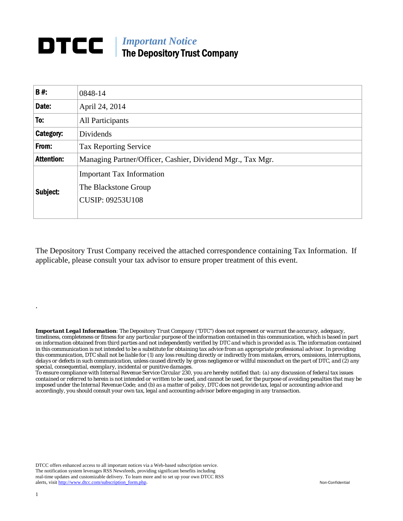## *Important Notice*  The Depository Trust Company

| <b>B#:</b>        | 0848-14                                                                             |
|-------------------|-------------------------------------------------------------------------------------|
| Date:             | April 24, 2014                                                                      |
| To:               | All Participants                                                                    |
| Category:         | Dividends                                                                           |
| From:             | <b>Tax Reporting Service</b>                                                        |
| <b>Attention:</b> | Managing Partner/Officer, Cashier, Dividend Mgr., Tax Mgr.                          |
| Subject:          | <b>Important Tax Information</b><br>The Blackstone Group<br><b>CUSIP: 09253U108</b> |

The Depository Trust Company received the attached correspondence containing Tax Information. If applicable, please consult your tax advisor to ensure proper treatment of this event.

*Important Legal Information: The Depository Trust Company ("DTC") does not represent or warrant the accuracy, adequacy, timeliness, completeness or fitness for any particular purpose of the information contained in this communication, which is based in part on information obtained from third parties and not independently verified by DTC and which is provided as is. The information contained in this communication is not intended to be a substitute for obtaining tax advice from an appropriate professional advisor. In providing this communication, DTC shall not be liable for (1) any loss resulting directly or indirectly from mistakes, errors, omissions, interruptions, delays or defects in such communication, unless caused directly by gross negligence or willful misconduct on the part of DTC, and (2) any special, consequential, exemplary, incidental or punitive damages.* 

*To ensure compliance with Internal Revenue Service Circular 230, you are hereby notified that: (a) any discussion of federal tax issues contained or referred to herein is not intended or written to be used, and cannot be used, for the purpose of avoiding penalties that may be imposed under the Internal Revenue Code; and (b) as a matter of policy, DTC does not provide tax, legal or accounting advice and accordingly, you should consult your own tax, legal and accounting advisor before engaging in any transaction.*

DTCC offers enhanced access to all important notices via a Web-based subscription service. The notification system leverages RSS Newsfeeds, providing significant benefits including real-time updates and customizable delivery. To learn more and to set up your own DTCC RSS alerts, visit http://www.dtcc.com/subscription\_form.php. Non-Confidential

.